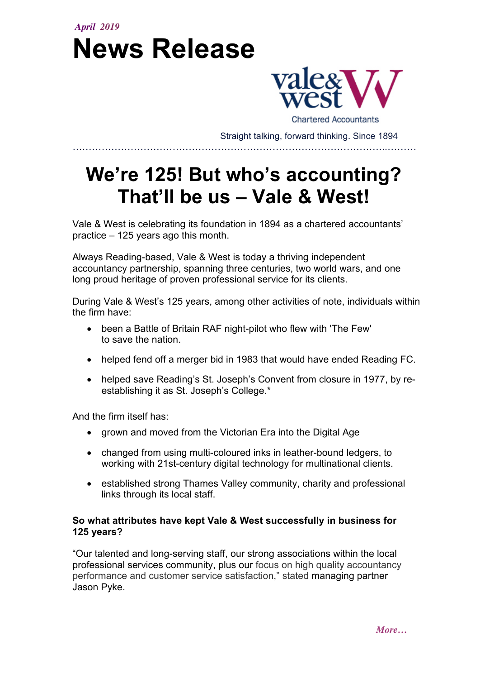## *April 2019* **News Release**



**Chartered Accountants** Straight talking, forward thinking. Since 1894

……………………………………………………………………………………..………

# **We're 125! But who's accounting? That'll be us – Vale & West!**

Vale & West is celebrating its foundation in 1894 as a chartered accountants' practice – 125 years ago this month.

Always Reading-based, Vale & West is today a thriving independent accountancy partnership, spanning three centuries, two world wars, and one long proud heritage of proven professional service for its clients.

During Vale & West's 125 years, among other activities of note, individuals within the firm have:

- been a Battle of Britain RAF night-pilot who flew with 'The Few' to save the nation.
- helped fend off a merger bid in 1983 that would have ended Reading FC.
- helped save Reading's St. Joseph's Convent from closure in 1977, by reestablishing it as St. Joseph's College.\*

And the firm itself has:

- grown and moved from the Victorian Era into the Digital Age
- changed from using multi-coloured inks in leather-bound ledgers, to working with 21st-century digital technology for multinational clients.
- established strong Thames Valley community, charity and professional links through its local staff.

#### **So what attributes have kept Vale & West successfully in business for 125 years?**

"Our talented and long-serving staff, our strong associations within the local professional services community, plus our focus on high quality accountancy performance and customer service satisfaction," stated managing partner Jason Pyke.